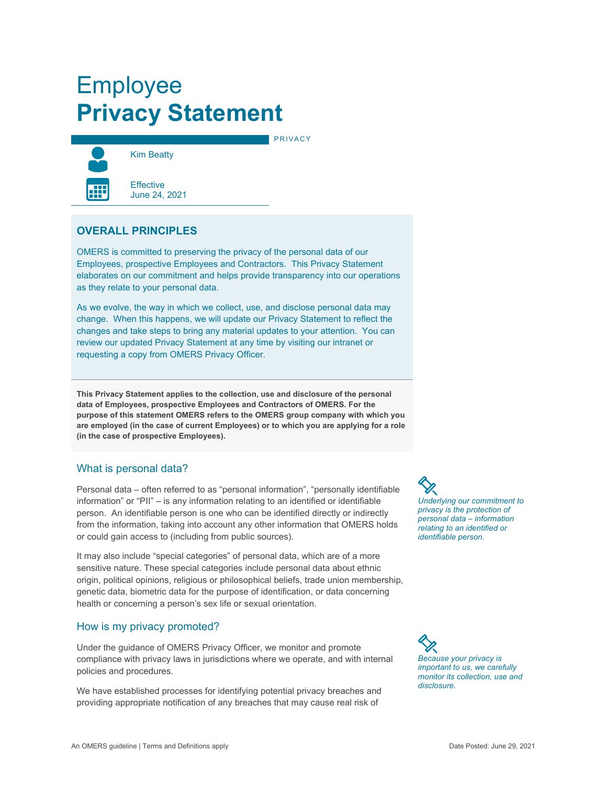# Employee **Privacy Statement**



Kim Beatty

PRIVACY



**Effective** June 24, 2021

# **OVERALL PRINCIPLES**

OMERS is committed to preserving the privacy of the personal data of our Employees, prospective Employees and Contractors. This Privacy Statement elaborates on our commitment and helps provide transparency into our operations as they relate to your personal data.

As we evolve, the way in which we collect, use, and disclose personal data may change. When this happens, we will update our Privacy Statement to reflect the changes and take steps to bring any material updates to your attention. You can review our updated Privacy Statement at any time by visiting our intranet or requesting a copy from OMERS Privacy Officer.

**This Privacy Statement applies to the collection, use and disclosure of the personal data of Employees, prospective Employees and Contractors of OMERS. For the purpose of this statement OMERS refers to the OMERS group company with which you are employed (in the case of current Employees) or to which you are applying for a role (in the case of prospective Employees).** 

# What is personal data?

Personal data – often referred to as "personal information", "personally identifiable information" or "PII" – is any information relating to an identified or identifiable person. An identifiable person is one who can be identified directly or indirectly from the information, taking into account any other information that OMERS holds or could gain access to (including from public sources).

It may also include "special categories" of personal data, which are of a more sensitive nature. These special categories include personal data about ethnic origin, political opinions, religious or philosophical beliefs, trade union membership, genetic data, biometric data for the purpose of identification, or data concerning health or concerning a person's sex life or sexual orientation.

#### How is my privacy promoted?

Under the guidance of OMERS Privacy Officer, we monitor and promote compliance with privacy laws in jurisdictions where we operate, and with internal policies and procedures.

We have established processes for identifying potential privacy breaches and providing appropriate notification of any breaches that may cause real risk of

*Underlying our commitment to privacy is the protection of personal data – information relating to an identified or identifiable person.* 

*Because your privacy is important to us, we carefully monitor its collection, use and disclosure.*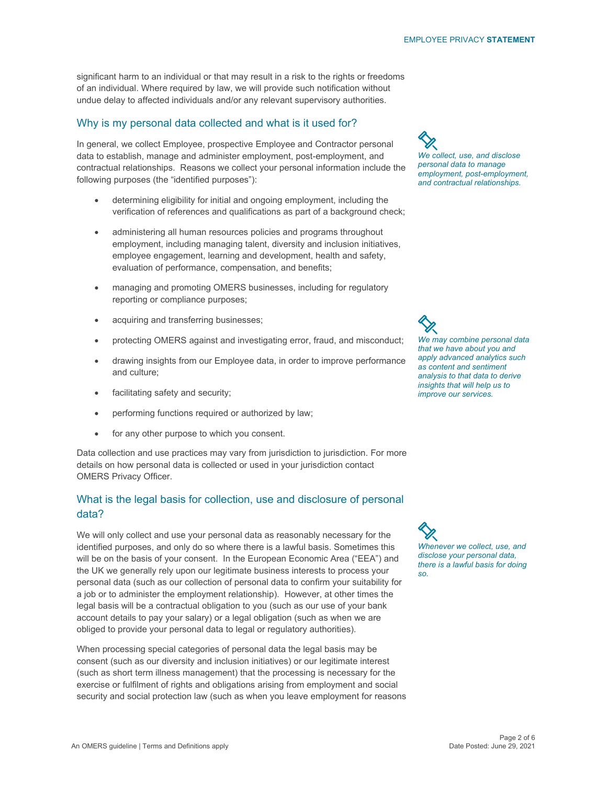significant harm to an individual or that may result in a risk to the rights or freedoms of an individual. Where required by law, we will provide such notification without undue delay to affected individuals and/or any relevant supervisory authorities.

#### Why is my personal data collected and what is it used for?

In general, we collect Employee, prospective Employee and Contractor personal data to establish, manage and administer employment, post-employment, and contractual relationships. Reasons we collect your personal information include the following purposes (the "identified purposes"):

- determining eligibility for initial and ongoing employment, including the verification of references and qualifications as part of a background check;
- administering all human resources policies and programs throughout employment, including managing talent, diversity and inclusion initiatives, employee engagement, learning and development, health and safety, evaluation of performance, compensation, and benefits;
- managing and promoting OMERS businesses, including for regulatory reporting or compliance purposes;
- acquiring and transferring businesses;
- protecting OMERS against and investigating error, fraud, and misconduct;
- drawing insights from our Employee data, in order to improve performance and culture;
- facilitating safety and security;
- performing functions required or authorized by law;
- for any other purpose to which you consent.

Data collection and use practices may vary from jurisdiction to jurisdiction. For more details on how personal data is collected or used in your jurisdiction contact OMERS Privacy Officer.

## What is the legal basis for collection, use and disclosure of personal data?

We will only collect and use your personal data as reasonably necessary for the identified purposes, and only do so where there is a lawful basis. Sometimes this will be on the basis of your consent. In the European Economic Area ("EEA") and the UK we generally rely upon our legitimate business interests to process your personal data (such as our collection of personal data to confirm your suitability for a job or to administer the employment relationship). However, at other times the legal basis will be a contractual obligation to you (such as our use of your bank account details to pay your salary) or a legal obligation (such as when we are obliged to provide your personal data to legal or regulatory authorities).

When processing special categories of personal data the legal basis may be consent (such as our diversity and inclusion initiatives) or our legitimate interest (such as short term illness management) that the processing is necessary for the exercise or fulfilment of rights and obligations arising from employment and social security and social protection law (such as when you leave employment for reasons

*We collect, use, and disclose personal data to manage employment, post-employment, and contractual relationships.* 

*We may combine personal data that we have about you and apply advanced analytics such as content and sentiment analysis to that data to derive insights that will help us to improve our services.* 

*Whenever we collect, use, and disclose your personal data, there is a lawful basis for doing so.*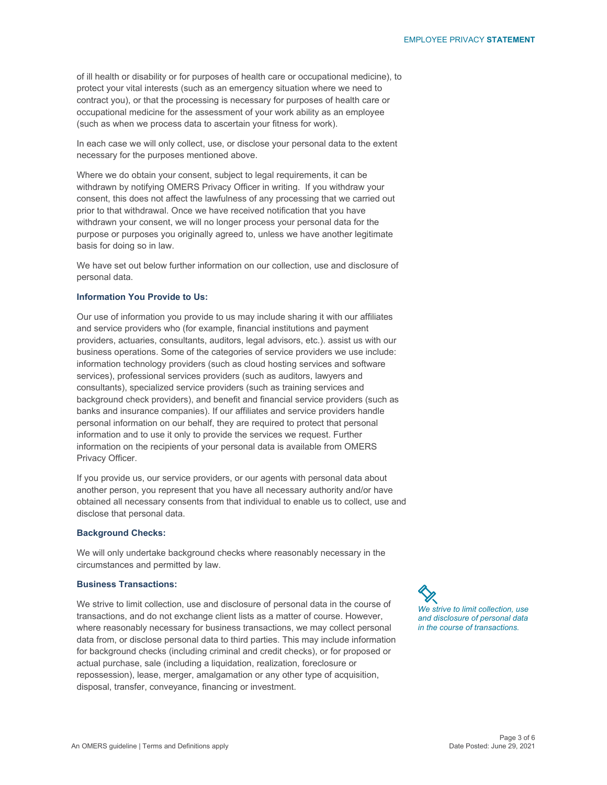of ill health or disability or for purposes of health care or occupational medicine), to protect your vital interests (such as an emergency situation where we need to contract you), or that the processing is necessary for purposes of health care or occupational medicine for the assessment of your work ability as an employee (such as when we process data to ascertain your fitness for work).

In each case we will only collect, use, or disclose your personal data to the extent necessary for the purposes mentioned above.

Where we do obtain your consent, subject to legal requirements, it can be withdrawn by notifying OMERS Privacy Officer in writing. If you withdraw your consent, this does not affect the lawfulness of any processing that we carried out prior to that withdrawal. Once we have received notification that you have withdrawn your consent, we will no longer process your personal data for the purpose or purposes you originally agreed to, unless we have another legitimate basis for doing so in law.

We have set out below further information on our collection, use and disclosure of personal data.

#### **Information You Provide to Us:**

Our use of information you provide to us may include sharing it with our affiliates and service providers who (for example, financial institutions and payment providers, actuaries, consultants, auditors, legal advisors, etc.). assist us with our business operations. Some of the categories of service providers we use include: information technology providers (such as cloud hosting services and software services), professional services providers (such as auditors, lawyers and consultants), specialized service providers (such as training services and background check providers), and benefit and financial service providers (such as banks and insurance companies). If our affiliates and service providers handle personal information on our behalf, they are required to protect that personal information and to use it only to provide the services we request. Further information on the recipients of your personal data is available from OMERS Privacy Officer.

If you provide us, our service providers, or our agents with personal data about another person, you represent that you have all necessary authority and/or have obtained all necessary consents from that individual to enable us to collect, use and disclose that personal data.

#### **Background Checks:**

We will only undertake background checks where reasonably necessary in the circumstances and permitted by law.

#### **Business Transactions:**

We strive to limit collection, use and disclosure of personal data in the course of transactions, and do not exchange client lists as a matter of course. However, where reasonably necessary for business transactions, we may collect personal data from, or disclose personal data to third parties. This may include information for background checks (including criminal and credit checks), or for proposed or actual purchase, sale (including a liquidation, realization, foreclosure or repossession), lease, merger, amalgamation or any other type of acquisition, disposal, transfer, conveyance, financing or investment.

*We strive to limit collection, use and disclosure of personal data in the course of transactions.*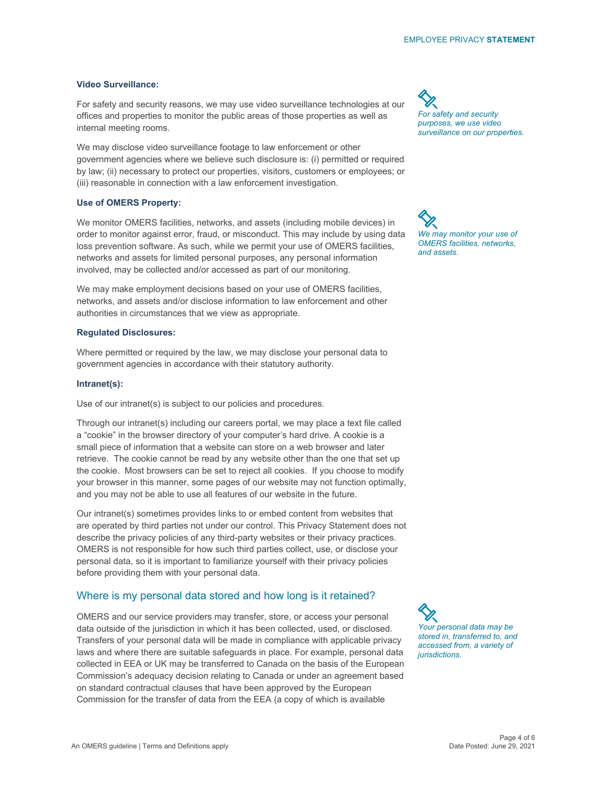## **Video Surveillance:**

For safety and security reasons, we may use video surveillance technologies at our offices and properties to monitor the public areas of those properties as well as internal meeting rooms.

We may disclose video surveillance footage to law enforcement or other government agencies where we believe such disclosure is: (i) permitted or required by law; (ii) necessary to protect our properties, visitors, customers or employees; or (iii) reasonable in connection with a law enforcement investigation.

## **Use of OMERS Property:**

We monitor OMERS facilities, networks, and assets (including mobile devices) in order to monitor against error, fraud, or misconduct. This may include by using data loss prevention software. As such, while we permit your use of OMERS facilities, networks and assets for limited personal purposes, any personal information involved, may be collected and/or accessed as part of our monitoring.

We may make employment decisions based on your use of OMERS facilities, networks, and assets and/or disclose information to law enforcement and other authorities in circumstances that we view as appropriate.

## **Regulated Disclosures:**

Where permitted or required by the law, we may disclose your personal data to government agencies in accordance with their statutory authority.

#### **Intranet(s):**

Use of our intranet(s) is subject to our policies and procedures.

Through our intranet(s) including our careers portal, we may place a text file called a "cookie" in the browser directory of your computer's hard drive. A cookie is a small piece of information that a website can store on a web browser and later retrieve. The cookie cannot be read by any website other than the one that set up the cookie. Most browsers can be set to reject all cookies. If you choose to modify your browser in this manner, some pages of our website may not function optimally, and you may not be able to use all features of our website in the future.

Our intranet(s) sometimes provides links to or embed content from websites that are operated by third parties not under our control. This Privacy Statement does not describe the privacy policies of any third-party websites or their privacy practices. OMERS is not responsible for how such third parties collect, use, or disclose your personal data, so it is important to familiarize yourself with their privacy policies before providing them with your personal data.

#### Where is my personal data stored and how long is it retained?

OMERS and our service providers may transfer, store, or access your personal data outside of the jurisdiction in which it has been collected, used, or disclosed. Transfers of your personal data will be made in compliance with applicable privacy laws and where there are suitable safeguards in place. For example, personal data collected in EEA or UK may be transferred to Canada on the basis of the European Commission's adequacy decision relating to Canada or under an agreement based on standard contractual clauses that have been approved by the European Commission for the transfer of data from the EEA (a copy of which is available

*For safety and security purposes, we use video surveillance on our properties.* 

*We may monitor your use of OMERS facilities, networks, and assets.* 

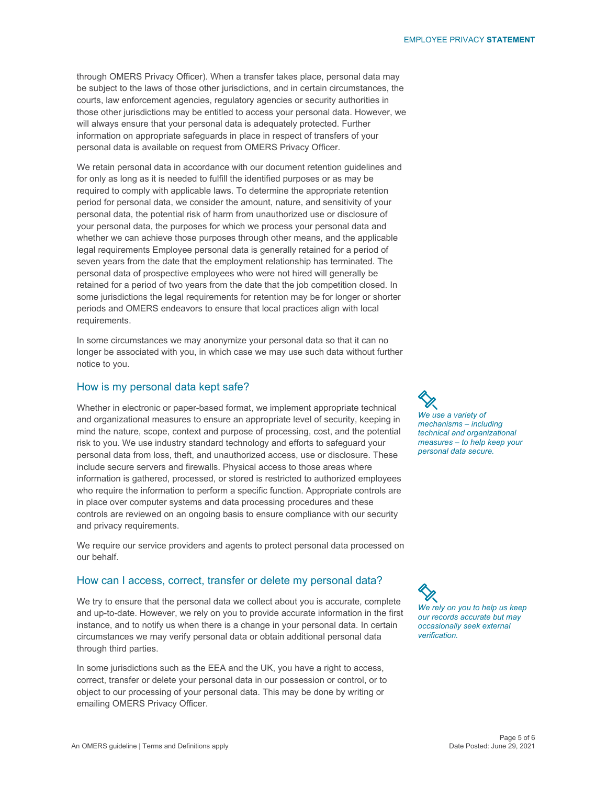through OMERS Privacy Officer). When a transfer takes place, personal data may be subject to the laws of those other jurisdictions, and in certain circumstances, the courts, law enforcement agencies, regulatory agencies or security authorities in those other jurisdictions may be entitled to access your personal data. However, we will always ensure that your personal data is adequately protected. Further information on appropriate safeguards in place in respect of transfers of your personal data is available on request from OMERS Privacy Officer.

We retain personal data in accordance with our document retention guidelines and for only as long as it is needed to fulfill the identified purposes or as may be required to comply with applicable laws. To determine the appropriate retention period for personal data, we consider the amount, nature, and sensitivity of your personal data, the potential risk of harm from unauthorized use or disclosure of your personal data, the purposes for which we process your personal data and whether we can achieve those purposes through other means, and the applicable legal requirements Employee personal data is generally retained for a period of seven years from the date that the employment relationship has terminated. The personal data of prospective employees who were not hired will generally be retained for a period of two years from the date that the job competition closed. In some jurisdictions the legal requirements for retention may be for longer or shorter periods and OMERS endeavors to ensure that local practices align with local requirements.

In some circumstances we may anonymize your personal data so that it can no longer be associated with you, in which case we may use such data without further notice to you.

#### How is my personal data kept safe?

Whether in electronic or paper-based format, we implement appropriate technical and organizational measures to ensure an appropriate level of security, keeping in mind the nature, scope, context and purpose of processing, cost, and the potential risk to you. We use industry standard technology and efforts to safeguard your personal data from loss, theft, and unauthorized access, use or disclosure. These include secure servers and firewalls. Physical access to those areas where information is gathered, processed, or stored is restricted to authorized employees who require the information to perform a specific function. Appropriate controls are in place over computer systems and data processing procedures and these controls are reviewed on an ongoing basis to ensure compliance with our security and privacy requirements.

We require our service providers and agents to protect personal data processed on our behalf.

#### How can I access, correct, transfer or delete my personal data?

We try to ensure that the personal data we collect about you is accurate, complete and up-to-date. However, we rely on you to provide accurate information in the first instance, and to notify us when there is a change in your personal data. In certain circumstances we may verify personal data or obtain additional personal data through third parties.

In some jurisdictions such as the EEA and the UK, you have a right to access, correct, transfer or delete your personal data in our possession or control, or to object to our processing of your personal data. This may be done by writing or emailing OMERS Privacy Officer.

*We use a variety of mechanisms – including technical and organizational measures – to help keep your personal data secure.* 

*We rely on you to help us keep our records accurate but may occasionally seek external verification.*